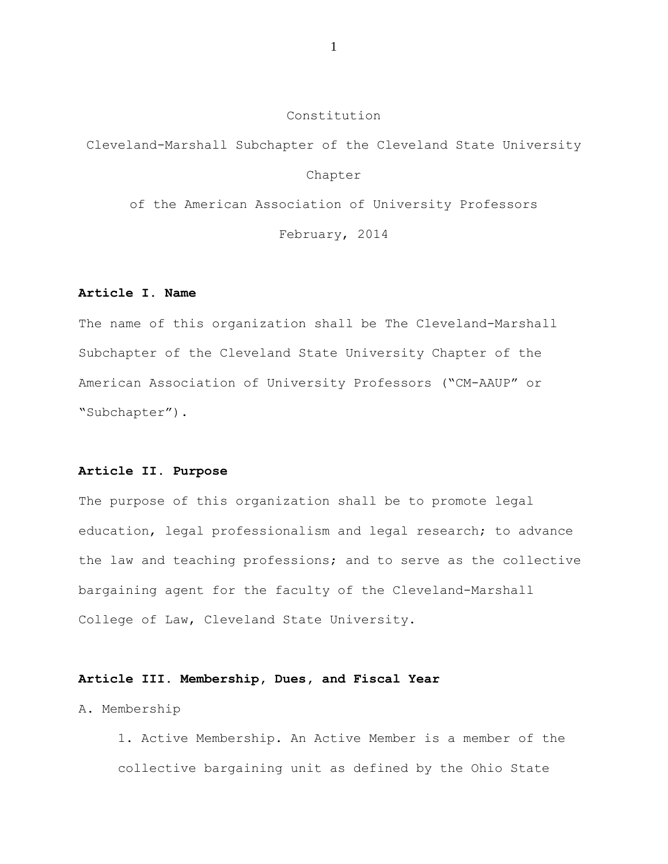### Constitution

Cleveland-Marshall Subchapter of the Cleveland State University

### Chapter

of the American Association of University Professors

February, 2014

### **Article I. Name**

The name of this organization shall be The Cleveland-Marshall Subchapter of the Cleveland State University Chapter of the American Association of University Professors ("CM-AAUP" or "Subchapter").

### **Article II. Purpose**

The purpose of this organization shall be to promote legal education, legal professionalism and legal research; to advance the law and teaching professions; and to serve as the collective bargaining agent for the faculty of the Cleveland-Marshall College of Law, Cleveland State University.

### **Article III. Membership, Dues, and Fiscal Year**

A. Membership

1. Active Membership. An Active Member is a member of the collective bargaining unit as defined by the Ohio State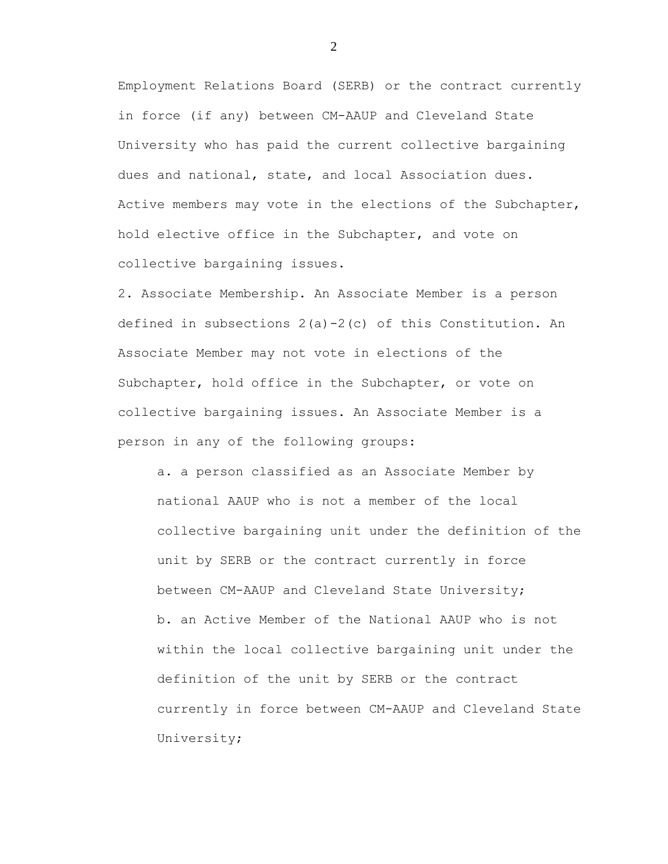Employment Relations Board (SERB) or the contract currently in force (if any) between CM-AAUP and Cleveland State University who has paid the current collective bargaining dues and national, state, and local Association dues. Active members may vote in the elections of the Subchapter, hold elective office in the Subchapter, and vote on collective bargaining issues.

2. Associate Membership. An Associate Member is a person defined in subsections 2(a)-2(c) of this Constitution. An Associate Member may not vote in elections of the Subchapter, hold office in the Subchapter, or vote on collective bargaining issues. An Associate Member is a person in any of the following groups:

a. a person classified as an Associate Member by national AAUP who is not a member of the local collective bargaining unit under the definition of the unit by SERB or the contract currently in force between CM-AAUP and Cleveland State University; b. an Active Member of the National AAUP who is not within the local collective bargaining unit under the definition of the unit by SERB or the contract currently in force between CM-AAUP and Cleveland State University;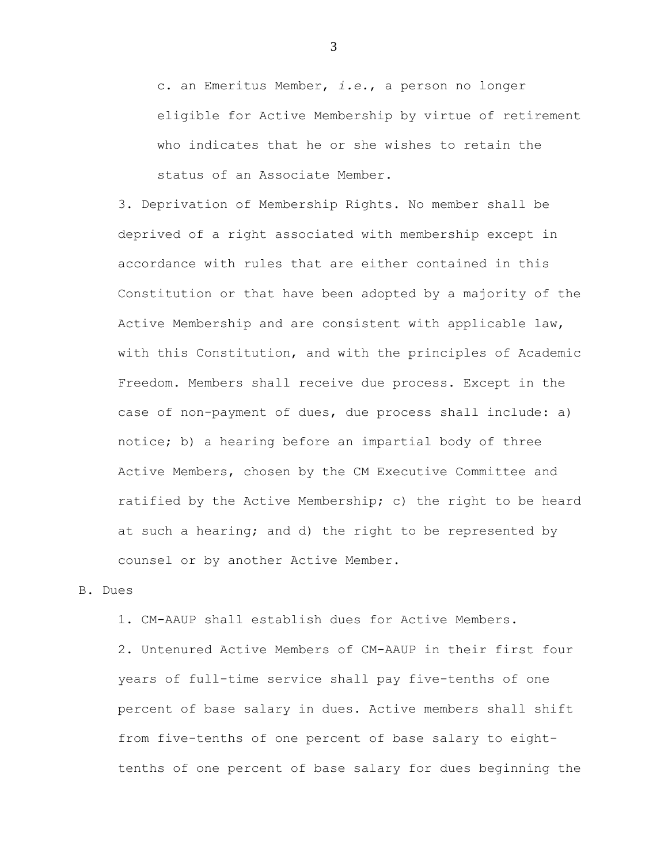c. an Emeritus Member, *i.e.*, a person no longer eligible for Active Membership by virtue of retirement who indicates that he or she wishes to retain the status of an Associate Member.

3. Deprivation of Membership Rights. No member shall be deprived of a right associated with membership except in accordance with rules that are either contained in this Constitution or that have been adopted by a majority of the Active Membership and are consistent with applicable law, with this Constitution, and with the principles of Academic Freedom. Members shall receive due process. Except in the case of non-payment of dues, due process shall include: a) notice; b) a hearing before an impartial body of three Active Members, chosen by the CM Executive Committee and ratified by the Active Membership; c) the right to be heard at such a hearing; and d) the right to be represented by counsel or by another Active Member.

### B. Dues

1. CM-AAUP shall establish dues for Active Members.

2. Untenured Active Members of CM-AAUP in their first four years of full-time service shall pay five-tenths of one percent of base salary in dues. Active members shall shift from five-tenths of one percent of base salary to eighttenths of one percent of base salary for dues beginning the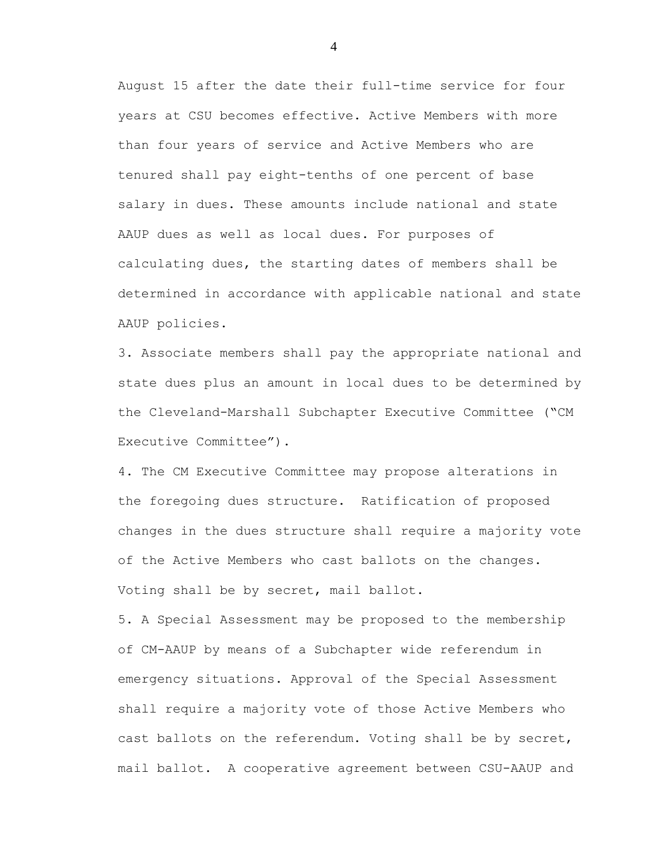August 15 after the date their full-time service for four years at CSU becomes effective. Active Members with more than four years of service and Active Members who are tenured shall pay eight-tenths of one percent of base salary in dues. These amounts include national and state AAUP dues as well as local dues. For purposes of calculating dues, the starting dates of members shall be determined in accordance with applicable national and state AAUP policies.

3. Associate members shall pay the appropriate national and state dues plus an amount in local dues to be determined by the Cleveland-Marshall Subchapter Executive Committee ("CM Executive Committee").

4. The CM Executive Committee may propose alterations in the foregoing dues structure. Ratification of proposed changes in the dues structure shall require a majority vote of the Active Members who cast ballots on the changes. Voting shall be by secret, mail ballot.

5. A Special Assessment may be proposed to the membership of CM-AAUP by means of a Subchapter wide referendum in emergency situations. Approval of the Special Assessment shall require a majority vote of those Active Members who cast ballots on the referendum. Voting shall be by secret, mail ballot. A cooperative agreement between CSU-AAUP and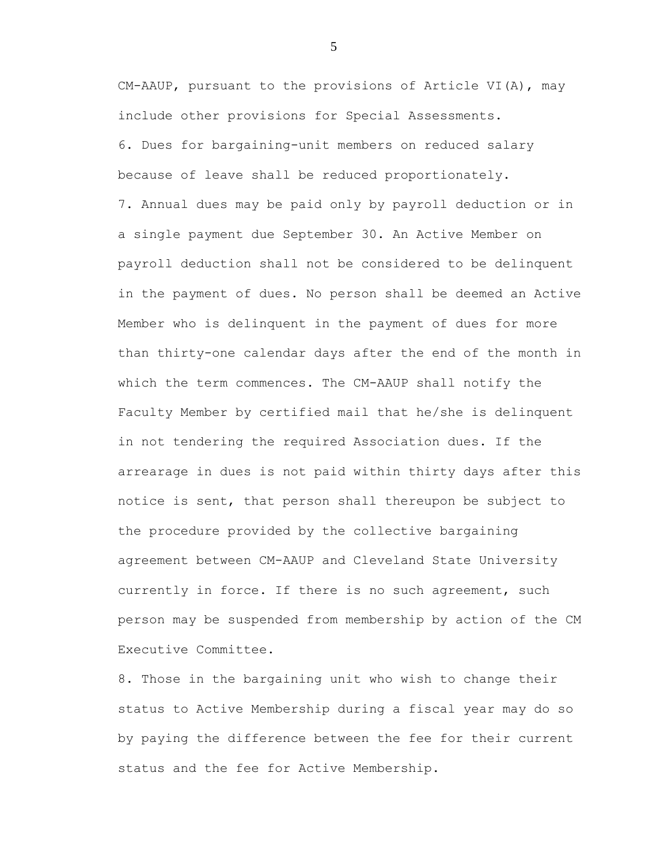CM-AAUP, pursuant to the provisions of Article VI(A), may include other provisions for Special Assessments. 6. Dues for bargaining-unit members on reduced salary because of leave shall be reduced proportionately. 7. Annual dues may be paid only by payroll deduction or in a single payment due September 30. An Active Member on payroll deduction shall not be considered to be delinquent in the payment of dues. No person shall be deemed an Active Member who is delinquent in the payment of dues for more than thirty-one calendar days after the end of the month in which the term commences. The CM-AAUP shall notify the Faculty Member by certified mail that he/she is delinquent in not tendering the required Association dues. If the arrearage in dues is not paid within thirty days after this notice is sent, that person shall thereupon be subject to the procedure provided by the collective bargaining agreement between CM-AAUP and Cleveland State University currently in force. If there is no such agreement, such person may be suspended from membership by action of the CM Executive Committee.

8. Those in the bargaining unit who wish to change their status to Active Membership during a fiscal year may do so by paying the difference between the fee for their current status and the fee for Active Membership.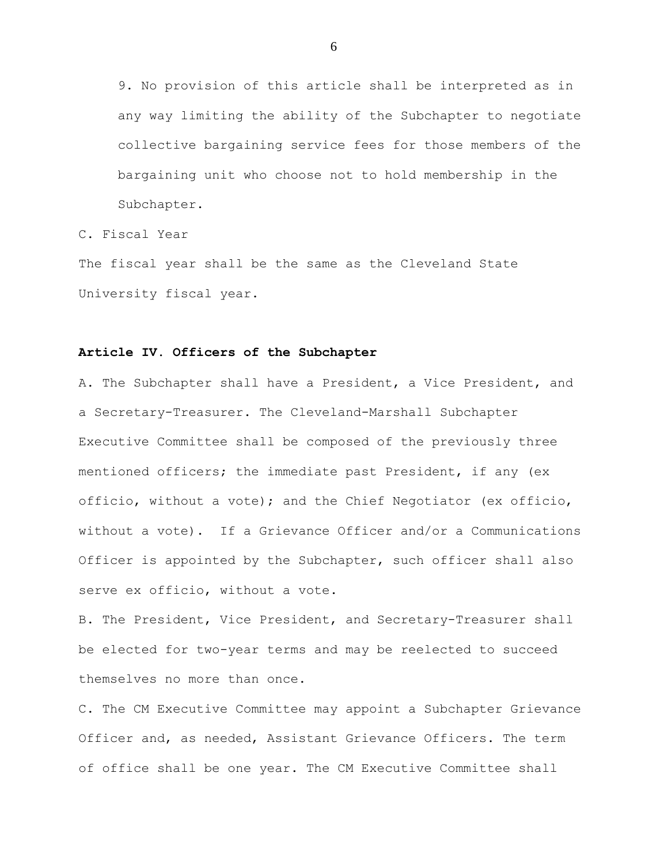9. No provision of this article shall be interpreted as in any way limiting the ability of the Subchapter to negotiate collective bargaining service fees for those members of the bargaining unit who choose not to hold membership in the Subchapter.

C. Fiscal Year

The fiscal year shall be the same as the Cleveland State University fiscal year.

#### **Article IV. Officers of the Subchapter**

A. The Subchapter shall have a President, a Vice President, and a Secretary-Treasurer. The Cleveland-Marshall Subchapter Executive Committee shall be composed of the previously three mentioned officers; the immediate past President, if any (ex officio, without a vote); and the Chief Negotiator (ex officio, without a vote). If a Grievance Officer and/or a Communications Officer is appointed by the Subchapter, such officer shall also serve ex officio, without a vote.

B. The President, Vice President, and Secretary-Treasurer shall be elected for two-year terms and may be reelected to succeed themselves no more than once.

C. The CM Executive Committee may appoint a Subchapter Grievance Officer and, as needed, Assistant Grievance Officers. The term of office shall be one year. The CM Executive Committee shall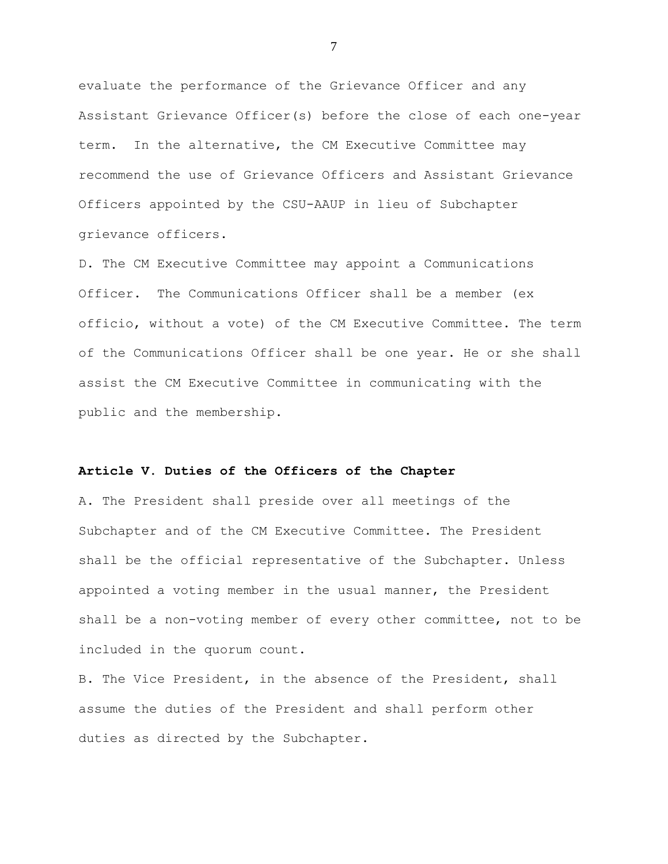evaluate the performance of the Grievance Officer and any Assistant Grievance Officer(s) before the close of each one-year term. In the alternative, the CM Executive Committee may recommend the use of Grievance Officers and Assistant Grievance Officers appointed by the CSU-AAUP in lieu of Subchapter grievance officers.

D. The CM Executive Committee may appoint a Communications Officer. The Communications Officer shall be a member (ex officio, without a vote) of the CM Executive Committee. The term of the Communications Officer shall be one year. He or she shall assist the CM Executive Committee in communicating with the public and the membership.

### **Article V. Duties of the Officers of the Chapter**

A. The President shall preside over all meetings of the Subchapter and of the CM Executive Committee. The President shall be the official representative of the Subchapter. Unless appointed a voting member in the usual manner, the President shall be a non-voting member of every other committee, not to be included in the quorum count.

B. The Vice President, in the absence of the President, shall assume the duties of the President and shall perform other duties as directed by the Subchapter.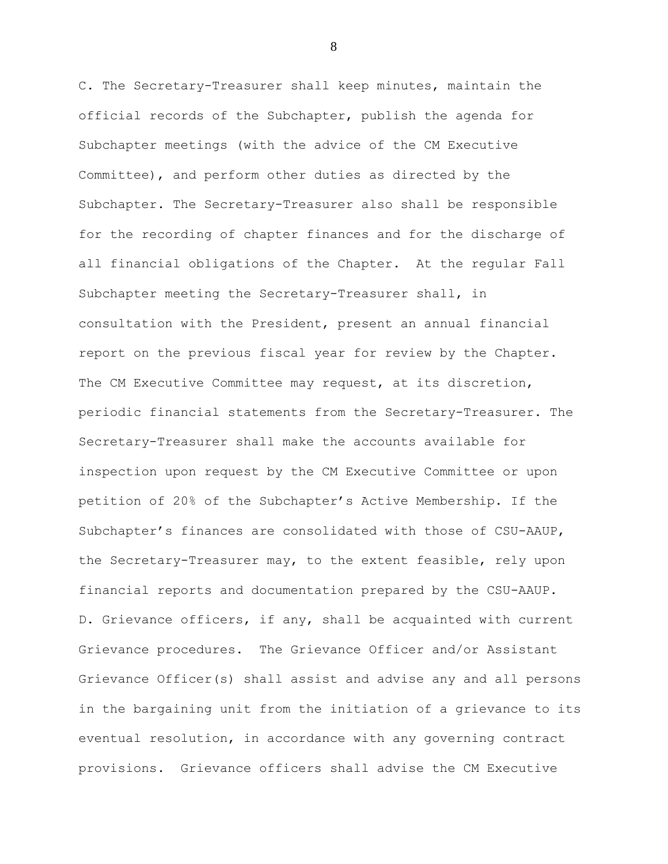C. The Secretary-Treasurer shall keep minutes, maintain the official records of the Subchapter, publish the agenda for Subchapter meetings (with the advice of the CM Executive Committee), and perform other duties as directed by the Subchapter. The Secretary-Treasurer also shall be responsible for the recording of chapter finances and for the discharge of all financial obligations of the Chapter. At the regular Fall Subchapter meeting the Secretary-Treasurer shall, in consultation with the President, present an annual financial report on the previous fiscal year for review by the Chapter. The CM Executive Committee may request, at its discretion, periodic financial statements from the Secretary-Treasurer. The Secretary-Treasurer shall make the accounts available for inspection upon request by the CM Executive Committee or upon petition of 20% of the Subchapter's Active Membership. If the Subchapter's finances are consolidated with those of CSU-AAUP, the Secretary-Treasurer may, to the extent feasible, rely upon financial reports and documentation prepared by the CSU-AAUP. D. Grievance officers, if any, shall be acquainted with current Grievance procedures. The Grievance Officer and/or Assistant Grievance Officer(s) shall assist and advise any and all persons in the bargaining unit from the initiation of a grievance to its eventual resolution, in accordance with any governing contract provisions. Grievance officers shall advise the CM Executive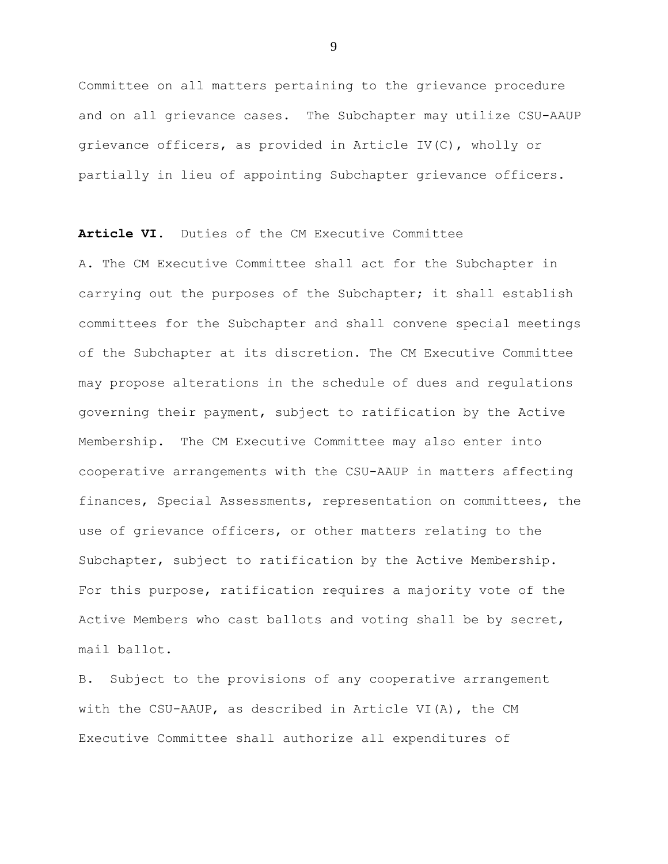Committee on all matters pertaining to the grievance procedure and on all grievance cases. The Subchapter may utilize CSU-AAUP grievance officers, as provided in Article IV(C), wholly or partially in lieu of appointing Subchapter grievance officers.

**Article VI.** Duties of the CM Executive Committee

A. The CM Executive Committee shall act for the Subchapter in carrying out the purposes of the Subchapter; it shall establish committees for the Subchapter and shall convene special meetings of the Subchapter at its discretion. The CM Executive Committee may propose alterations in the schedule of dues and regulations governing their payment, subject to ratification by the Active Membership. The CM Executive Committee may also enter into cooperative arrangements with the CSU-AAUP in matters affecting finances, Special Assessments, representation on committees, the use of grievance officers, or other matters relating to the Subchapter, subject to ratification by the Active Membership. For this purpose, ratification requires a majority vote of the Active Members who cast ballots and voting shall be by secret, mail ballot.

B. Subject to the provisions of any cooperative arrangement with the CSU-AAUP, as described in Article VI(A), the CM Executive Committee shall authorize all expenditures of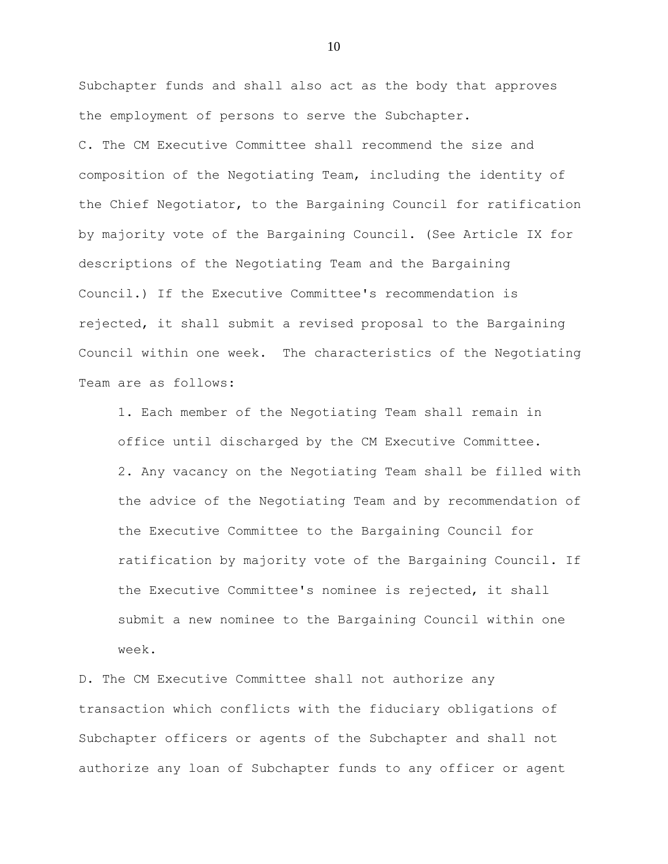Subchapter funds and shall also act as the body that approves the employment of persons to serve the Subchapter. C. The CM Executive Committee shall recommend the size and composition of the Negotiating Team, including the identity of the Chief Negotiator, to the Bargaining Council for ratification by majority vote of the Bargaining Council. (See Article IX for descriptions of the Negotiating Team and the Bargaining Council.) If the Executive Committee's recommendation is rejected, it shall submit a revised proposal to the Bargaining Council within one week. The characteristics of the Negotiating Team are as follows:

1. Each member of the Negotiating Team shall remain in office until discharged by the CM Executive Committee. 2. Any vacancy on the Negotiating Team shall be filled with the advice of the Negotiating Team and by recommendation of the Executive Committee to the Bargaining Council for ratification by majority vote of the Bargaining Council. If the Executive Committee's nominee is rejected, it shall submit a new nominee to the Bargaining Council within one week.

D. The CM Executive Committee shall not authorize any transaction which conflicts with the fiduciary obligations of Subchapter officers or agents of the Subchapter and shall not authorize any loan of Subchapter funds to any officer or agent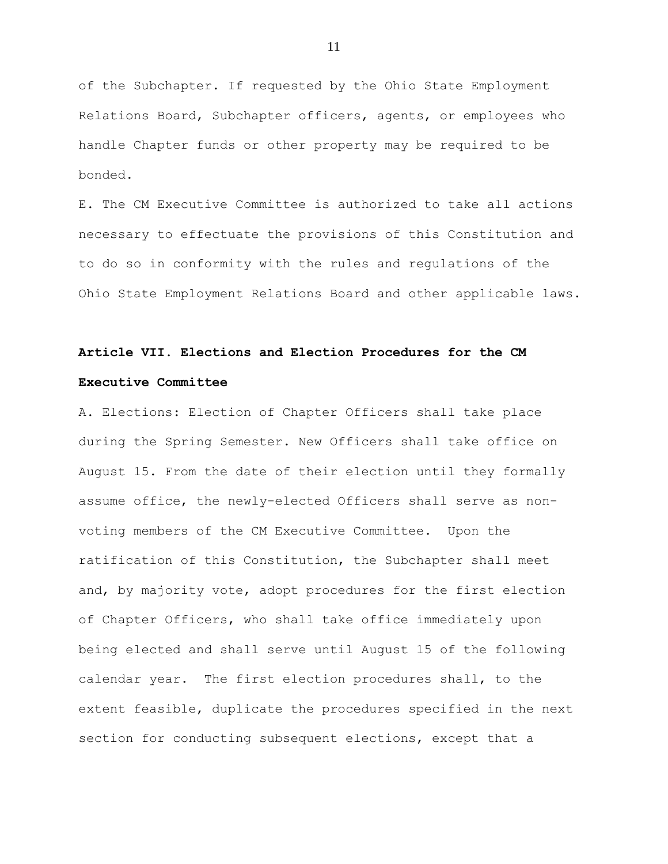of the Subchapter. If requested by the Ohio State Employment Relations Board, Subchapter officers, agents, or employees who handle Chapter funds or other property may be required to be bonded.

E. The CM Executive Committee is authorized to take all actions necessary to effectuate the provisions of this Constitution and to do so in conformity with the rules and regulations of the Ohio State Employment Relations Board and other applicable laws.

## **Article VII. Elections and Election Procedures for the CM Executive Committee**

A. Elections: Election of Chapter Officers shall take place during the Spring Semester. New Officers shall take office on August 15. From the date of their election until they formally assume office, the newly-elected Officers shall serve as nonvoting members of the CM Executive Committee. Upon the ratification of this Constitution, the Subchapter shall meet and, by majority vote, adopt procedures for the first election of Chapter Officers, who shall take office immediately upon being elected and shall serve until August 15 of the following calendar year. The first election procedures shall, to the extent feasible, duplicate the procedures specified in the next section for conducting subsequent elections, except that a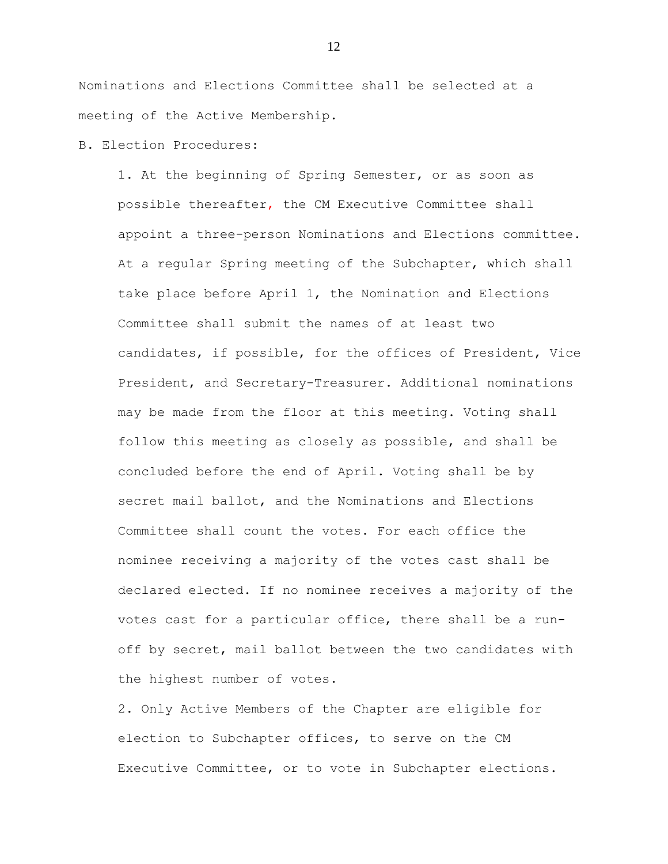Nominations and Elections Committee shall be selected at a meeting of the Active Membership.

### B. Election Procedures:

1. At the beginning of Spring Semester, or as soon as possible thereafter, the CM Executive Committee shall appoint a three-person Nominations and Elections committee. At a regular Spring meeting of the Subchapter, which shall take place before April 1, the Nomination and Elections Committee shall submit the names of at least two candidates, if possible, for the offices of President, Vice President, and Secretary-Treasurer. Additional nominations may be made from the floor at this meeting. Voting shall follow this meeting as closely as possible, and shall be concluded before the end of April. Voting shall be by secret mail ballot, and the Nominations and Elections Committee shall count the votes. For each office the nominee receiving a majority of the votes cast shall be declared elected. If no nominee receives a majority of the votes cast for a particular office, there shall be a runoff by secret, mail ballot between the two candidates with the highest number of votes.

2. Only Active Members of the Chapter are eligible for election to Subchapter offices, to serve on the CM Executive Committee, or to vote in Subchapter elections.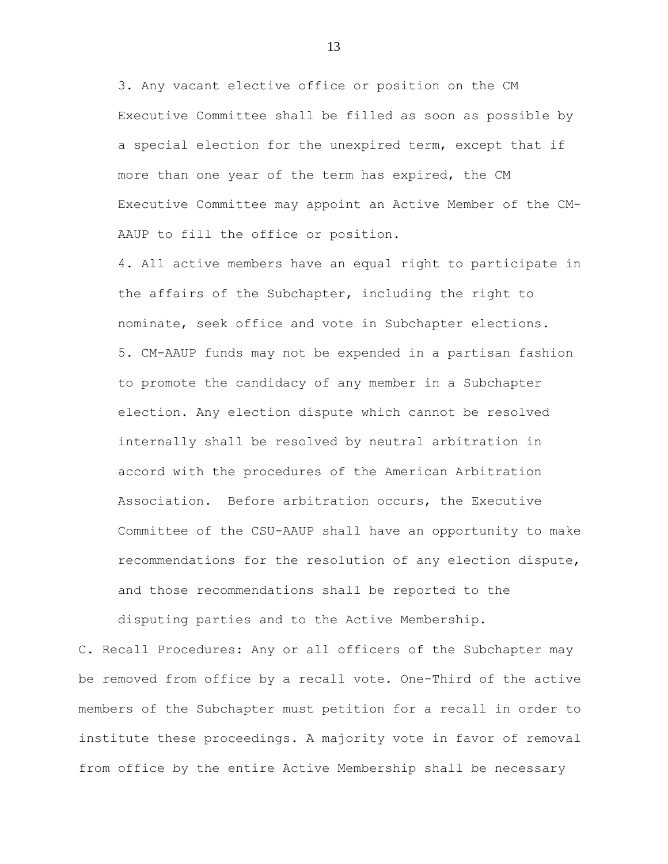3. Any vacant elective office or position on the CM Executive Committee shall be filled as soon as possible by a special election for the unexpired term, except that if more than one year of the term has expired, the CM Executive Committee may appoint an Active Member of the CM-AAUP to fill the office or position.

4. All active members have an equal right to participate in the affairs of the Subchapter, including the right to nominate, seek office and vote in Subchapter elections. 5. CM-AAUP funds may not be expended in a partisan fashion to promote the candidacy of any member in a Subchapter election. Any election dispute which cannot be resolved internally shall be resolved by neutral arbitration in accord with the procedures of the American Arbitration Association. Before arbitration occurs, the Executive Committee of the CSU-AAUP shall have an opportunity to make recommendations for the resolution of any election dispute, and those recommendations shall be reported to the

disputing parties and to the Active Membership.

C. Recall Procedures: Any or all officers of the Subchapter may be removed from office by a recall vote. One-Third of the active members of the Subchapter must petition for a recall in order to institute these proceedings. A majority vote in favor of removal from office by the entire Active Membership shall be necessary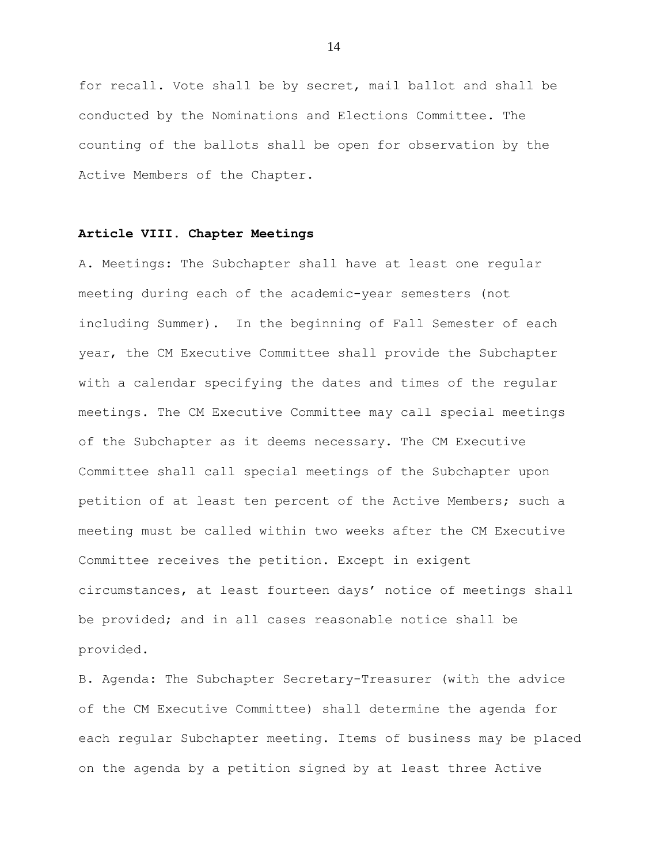for recall. Vote shall be by secret, mail ballot and shall be conducted by the Nominations and Elections Committee. The counting of the ballots shall be open for observation by the Active Members of the Chapter.

### **Article VIII. Chapter Meetings**

A. Meetings: The Subchapter shall have at least one regular meeting during each of the academic-year semesters (not including Summer). In the beginning of Fall Semester of each year, the CM Executive Committee shall provide the Subchapter with a calendar specifying the dates and times of the regular meetings. The CM Executive Committee may call special meetings of the Subchapter as it deems necessary. The CM Executive Committee shall call special meetings of the Subchapter upon petition of at least ten percent of the Active Members; such a meeting must be called within two weeks after the CM Executive Committee receives the petition. Except in exigent circumstances, at least fourteen days' notice of meetings shall be provided; and in all cases reasonable notice shall be provided.

B. Agenda: The Subchapter Secretary-Treasurer (with the advice of the CM Executive Committee) shall determine the agenda for each regular Subchapter meeting. Items of business may be placed on the agenda by a petition signed by at least three Active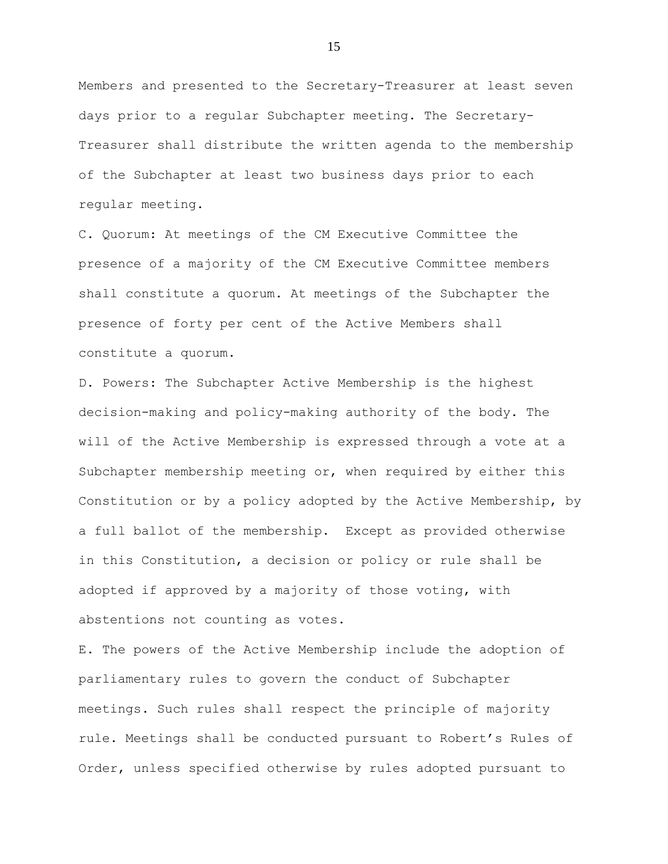Members and presented to the Secretary-Treasurer at least seven days prior to a regular Subchapter meeting. The Secretary-Treasurer shall distribute the written agenda to the membership of the Subchapter at least two business days prior to each regular meeting.

C. Quorum: At meetings of the CM Executive Committee the presence of a majority of the CM Executive Committee members shall constitute a quorum. At meetings of the Subchapter the presence of forty per cent of the Active Members shall constitute a quorum.

D. Powers: The Subchapter Active Membership is the highest decision-making and policy-making authority of the body. The will of the Active Membership is expressed through a vote at a Subchapter membership meeting or, when required by either this Constitution or by a policy adopted by the Active Membership, by a full ballot of the membership. Except as provided otherwise in this Constitution, a decision or policy or rule shall be adopted if approved by a majority of those voting, with abstentions not counting as votes.

E. The powers of the Active Membership include the adoption of parliamentary rules to govern the conduct of Subchapter meetings. Such rules shall respect the principle of majority rule. Meetings shall be conducted pursuant to Robert's Rules of Order, unless specified otherwise by rules adopted pursuant to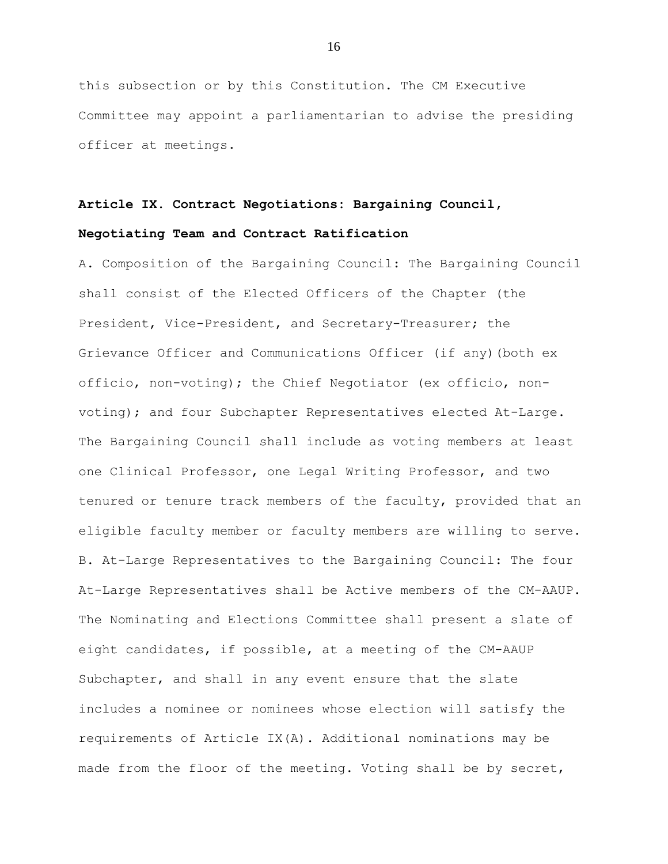this subsection or by this Constitution. The CM Executive Committee may appoint a parliamentarian to advise the presiding officer at meetings.

# **Article IX. Contract Negotiations: Bargaining Council,**

### **Negotiating Team and Contract Ratification**

A. Composition of the Bargaining Council: The Bargaining Council shall consist of the Elected Officers of the Chapter (the President, Vice-President, and Secretary-Treasurer; the Grievance Officer and Communications Officer (if any)(both ex officio, non-voting); the Chief Negotiator (ex officio, nonvoting); and four Subchapter Representatives elected At-Large. The Bargaining Council shall include as voting members at least one Clinical Professor, one Legal Writing Professor, and two tenured or tenure track members of the faculty, provided that an eligible faculty member or faculty members are willing to serve. B. At-Large Representatives to the Bargaining Council: The four At-Large Representatives shall be Active members of the CM-AAUP. The Nominating and Elections Committee shall present a slate of eight candidates, if possible, at a meeting of the CM-AAUP Subchapter, and shall in any event ensure that the slate includes a nominee or nominees whose election will satisfy the requirements of Article IX(A). Additional nominations may be made from the floor of the meeting. Voting shall be by secret,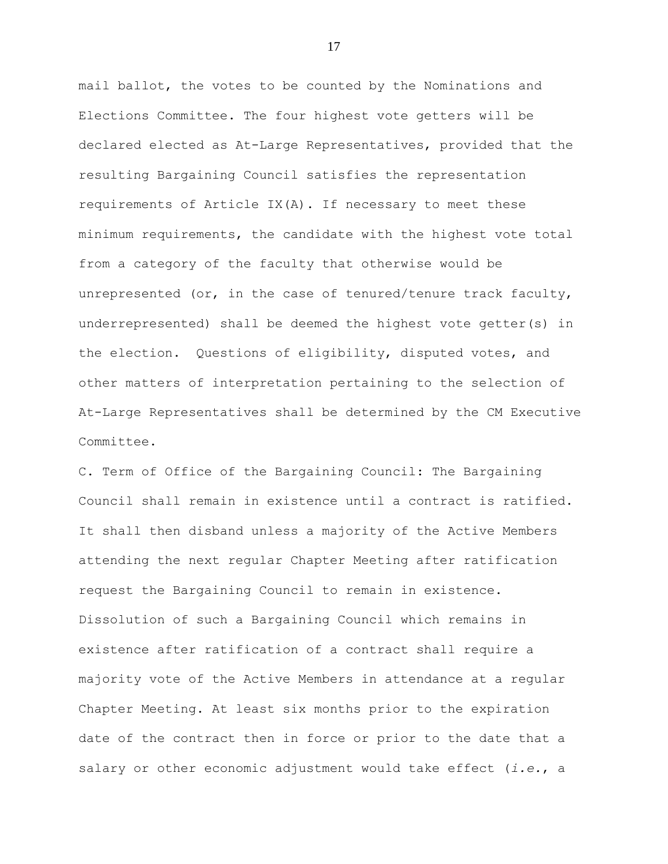mail ballot, the votes to be counted by the Nominations and Elections Committee. The four highest vote getters will be declared elected as At-Large Representatives, provided that the resulting Bargaining Council satisfies the representation requirements of Article  $IX(A)$ . If necessary to meet these minimum requirements, the candidate with the highest vote total from a category of the faculty that otherwise would be unrepresented (or, in the case of tenured/tenure track faculty, underrepresented) shall be deemed the highest vote getter(s) in the election. Questions of eligibility, disputed votes, and other matters of interpretation pertaining to the selection of At-Large Representatives shall be determined by the CM Executive Committee.

C. Term of Office of the Bargaining Council: The Bargaining Council shall remain in existence until a contract is ratified. It shall then disband unless a majority of the Active Members attending the next regular Chapter Meeting after ratification request the Bargaining Council to remain in existence. Dissolution of such a Bargaining Council which remains in existence after ratification of a contract shall require a majority vote of the Active Members in attendance at a regular Chapter Meeting. At least six months prior to the expiration date of the contract then in force or prior to the date that a salary or other economic adjustment would take effect (*i.e.*, a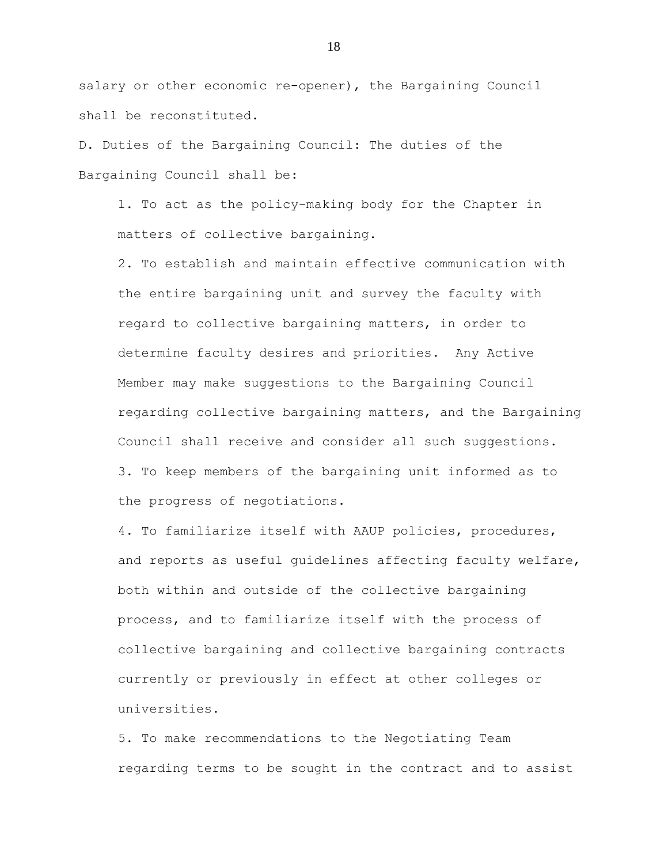salary or other economic re-opener), the Bargaining Council shall be reconstituted.

D. Duties of the Bargaining Council: The duties of the Bargaining Council shall be:

1. To act as the policy-making body for the Chapter in matters of collective bargaining.

2. To establish and maintain effective communication with the entire bargaining unit and survey the faculty with regard to collective bargaining matters, in order to determine faculty desires and priorities. Any Active Member may make suggestions to the Bargaining Council regarding collective bargaining matters, and the Bargaining Council shall receive and consider all such suggestions. 3. To keep members of the bargaining unit informed as to the progress of negotiations.

4. To familiarize itself with AAUP policies, procedures, and reports as useful guidelines affecting faculty welfare, both within and outside of the collective bargaining process, and to familiarize itself with the process of collective bargaining and collective bargaining contracts currently or previously in effect at other colleges or universities.

5. To make recommendations to the Negotiating Team regarding terms to be sought in the contract and to assist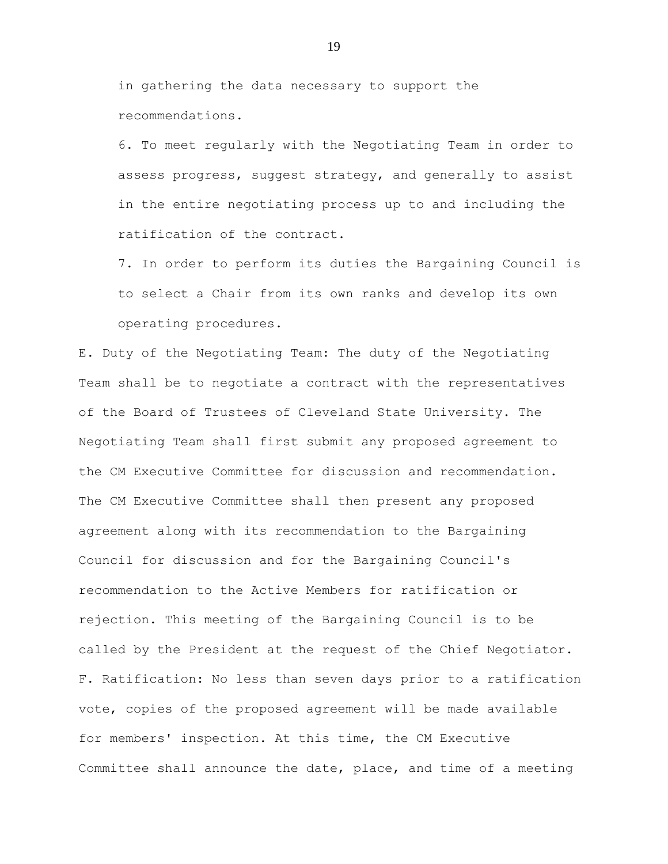in gathering the data necessary to support the recommendations.

6. To meet regularly with the Negotiating Team in order to assess progress, suggest strategy, and generally to assist in the entire negotiating process up to and including the ratification of the contract.

7. In order to perform its duties the Bargaining Council is to select a Chair from its own ranks and develop its own operating procedures.

E. Duty of the Negotiating Team: The duty of the Negotiating Team shall be to negotiate a contract with the representatives of the Board of Trustees of Cleveland State University. The Negotiating Team shall first submit any proposed agreement to the CM Executive Committee for discussion and recommendation. The CM Executive Committee shall then present any proposed agreement along with its recommendation to the Bargaining Council for discussion and for the Bargaining Council's recommendation to the Active Members for ratification or rejection. This meeting of the Bargaining Council is to be called by the President at the request of the Chief Negotiator. F. Ratification: No less than seven days prior to a ratification vote, copies of the proposed agreement will be made available for members' inspection. At this time, the CM Executive Committee shall announce the date, place, and time of a meeting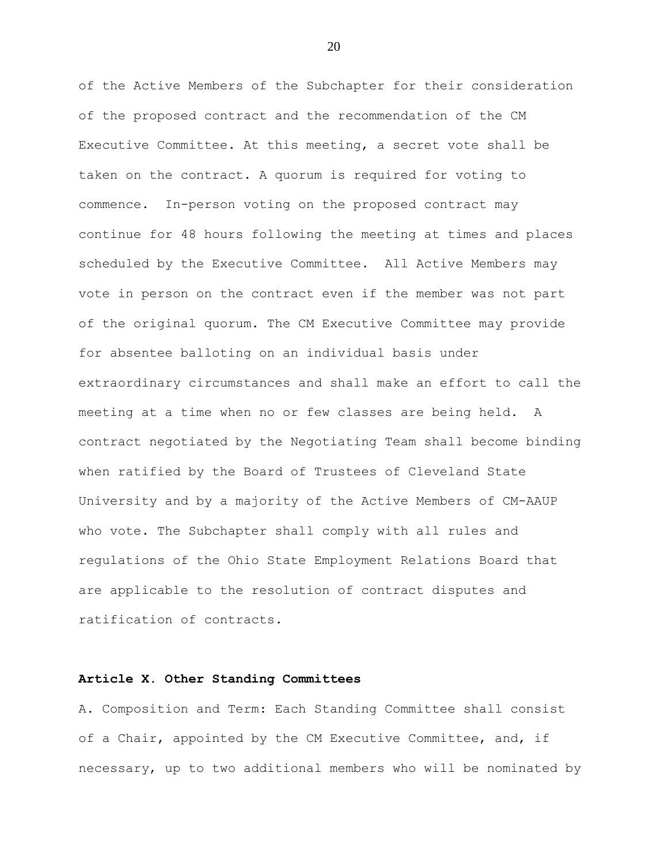of the Active Members of the Subchapter for their consideration of the proposed contract and the recommendation of the CM Executive Committee. At this meeting, a secret vote shall be taken on the contract. A quorum is required for voting to commence. In-person voting on the proposed contract may continue for 48 hours following the meeting at times and places scheduled by the Executive Committee. All Active Members may vote in person on the contract even if the member was not part of the original quorum. The CM Executive Committee may provide for absentee balloting on an individual basis under extraordinary circumstances and shall make an effort to call the meeting at a time when no or few classes are being held. A contract negotiated by the Negotiating Team shall become binding when ratified by the Board of Trustees of Cleveland State University and by a majority of the Active Members of CM-AAUP who vote. The Subchapter shall comply with all rules and regulations of the Ohio State Employment Relations Board that are applicable to the resolution of contract disputes and ratification of contracts.

### **Article X. Other Standing Committees**

A. Composition and Term: Each Standing Committee shall consist of a Chair, appointed by the CM Executive Committee, and, if necessary, up to two additional members who will be nominated by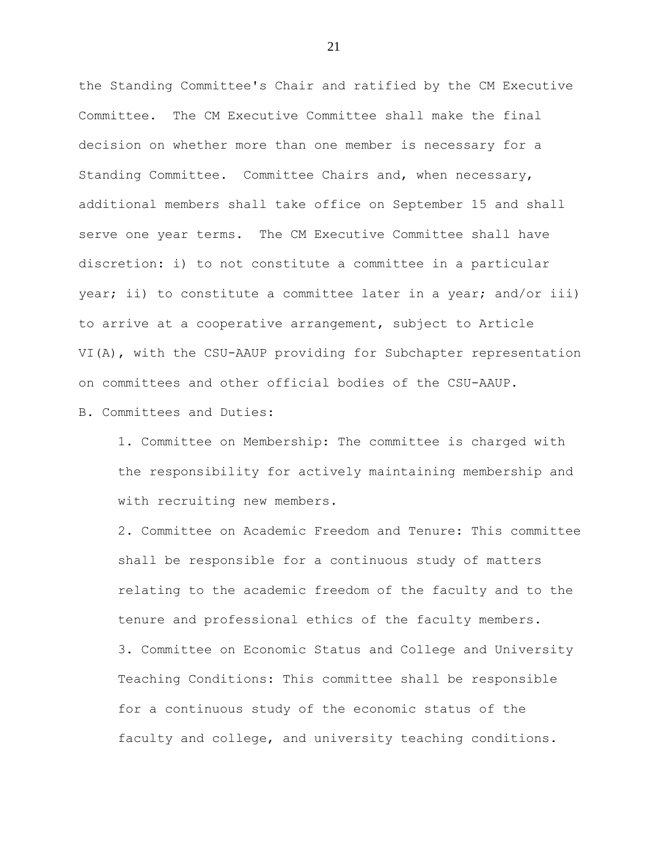the Standing Committee's Chair and ratified by the CM Executive Committee. The CM Executive Committee shall make the final decision on whether more than one member is necessary for a Standing Committee. Committee Chairs and, when necessary, additional members shall take office on September 15 and shall serve one year terms. The CM Executive Committee shall have discretion: i) to not constitute a committee in a particular year; ii) to constitute a committee later in a year; and/or iii) to arrive at a cooperative arrangement, subject to Article VI(A), with the CSU-AAUP providing for Subchapter representation on committees and other official bodies of the CSU-AAUP.

B. Committees and Duties:

1. Committee on Membership: The committee is charged with the responsibility for actively maintaining membership and with recruiting new members.

2. Committee on Academic Freedom and Tenure: This committee shall be responsible for a continuous study of matters relating to the academic freedom of the faculty and to the tenure and professional ethics of the faculty members. 3. Committee on Economic Status and College and University Teaching Conditions: This committee shall be responsible for a continuous study of the economic status of the faculty and college, and university teaching conditions.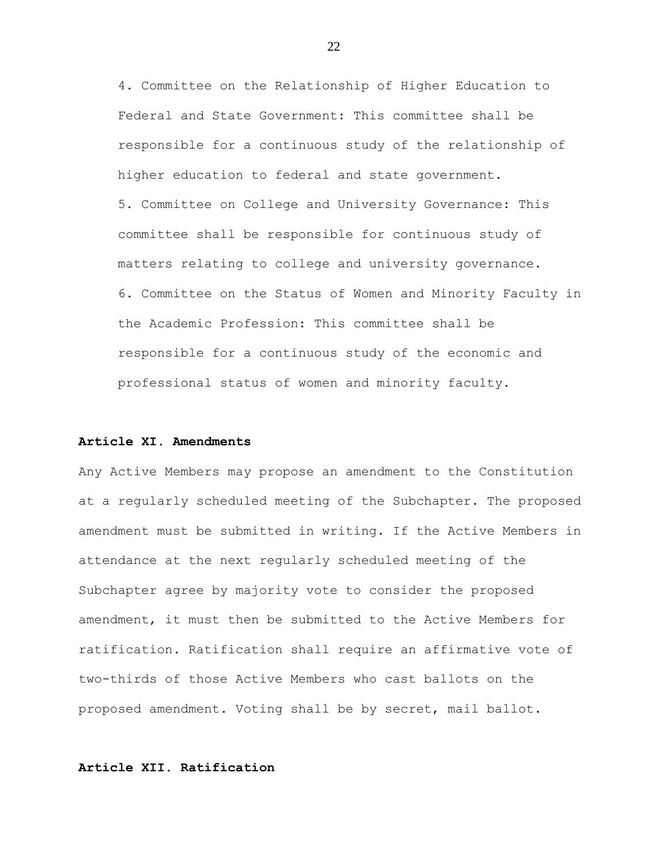4. Committee on the Relationship of Higher Education to Federal and State Government: This committee shall be responsible for a continuous study of the relationship of higher education to federal and state government. 5. Committee on College and University Governance: This committee shall be responsible for continuous study of matters relating to college and university governance. 6. Committee on the Status of Women and Minority Faculty in the Academic Profession: This committee shall be responsible for a continuous study of the economic and professional status of women and minority faculty.

### **Article XI. Amendments**

Any Active Members may propose an amendment to the Constitution at a regularly scheduled meeting of the Subchapter. The proposed amendment must be submitted in writing. If the Active Members in attendance at the next regularly scheduled meeting of the Subchapter agree by majority vote to consider the proposed amendment, it must then be submitted to the Active Members for ratification. Ratification shall require an affirmative vote of two-thirds of those Active Members who cast ballots on the proposed amendment. Voting shall be by secret, mail ballot.

### **Article XII. Ratification**